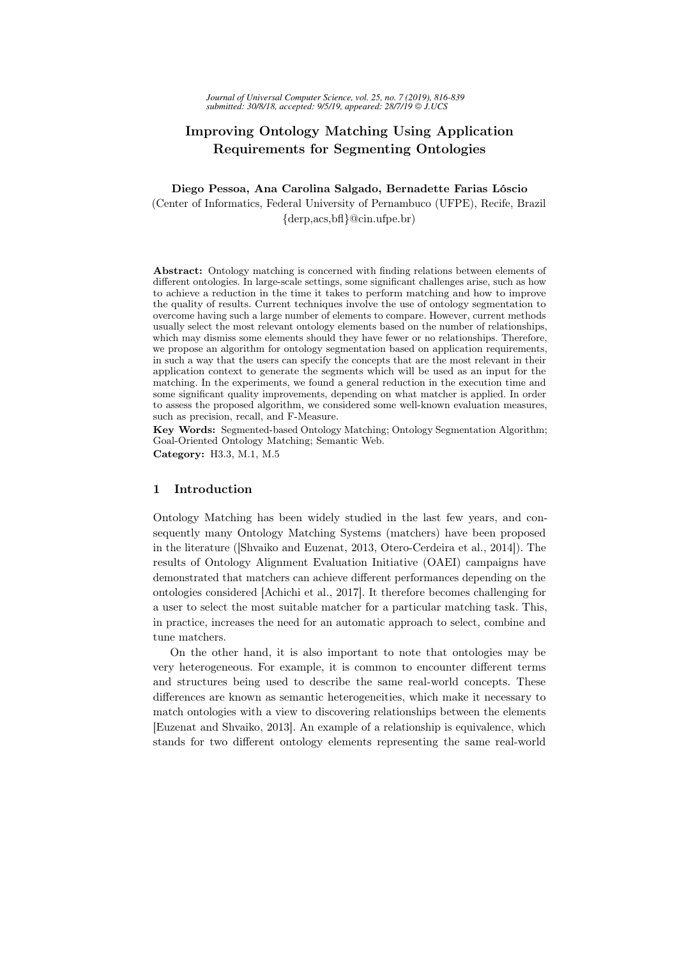# Improving Ontology Matching Using Application Requirements for Segmenting Ontologies

## Diego Pessoa, Ana Carolina Salgado, Bernadette Farias Lóscio (Center of Informatics, Federal University of Pernambuco (UFPE), Recife, Brazil {derp,acs,bfl}@cin.ufpe.br)

Abstract: Ontology matching is concerned with finding relations between elements of different ontologies. In large-scale settings, some significant challenges arise, such as how to achieve a reduction in the time it takes to perform matching and how to improve the quality of results. Current techniques involve the use of ontology segmentation to overcome having such a large number of elements to compare. However, current methods usually select the most relevant ontology elements based on the number of relationships, which may dismiss some elements should they have fewer or no relationships. Therefore, we propose an algorithm for ontology segmentation based on application requirements, in such a way that the users can specify the concepts that are the most relevant in their application context to generate the segments which will be used as an input for the matching. In the experiments, we found a general reduction in the execution time and some significant quality improvements, depending on what matcher is applied. In order to assess the proposed algorithm, we considered some well-known evaluation measures, such as precision, recall, and F-Measure.

Key Words: Segmented-based Ontology Matching; Ontology Segmentation Algorithm; Goal-Oriented Ontology Matching; Semantic Web. Category: H3.3, M.1, M.5

## 1 Introduction

Ontology Matching has been widely studied in the last few years, and consequently many Ontology Matching Systems (matchers) have been proposed in the literature ([Shvaiko and Euzenat, 2013, Otero-Cerdeira et al., 2014]). The results of Ontology Alignment Evaluation Initiative (OAEI) campaigns have demonstrated that matchers can achieve different performances depending on the ontologies considered [Achichi et al., 2017]. It therefore becomes challenging for a user to select the most suitable matcher for a particular matching task. This, in practice, increases the need for an automatic approach to select, combine and tune matchers.

On the other hand, it is also important to note that ontologies may be very heterogeneous. For example, it is common to encounter different terms and structures being used to describe the same real-world concepts. These differences are known as semantic heterogeneities, which make it necessary to match ontologies with a view to discovering relationships between the elements [Euzenat and Shvaiko, 2013]. An example of a relationship is equivalence, which stands for two different ontology elements representing the same real-world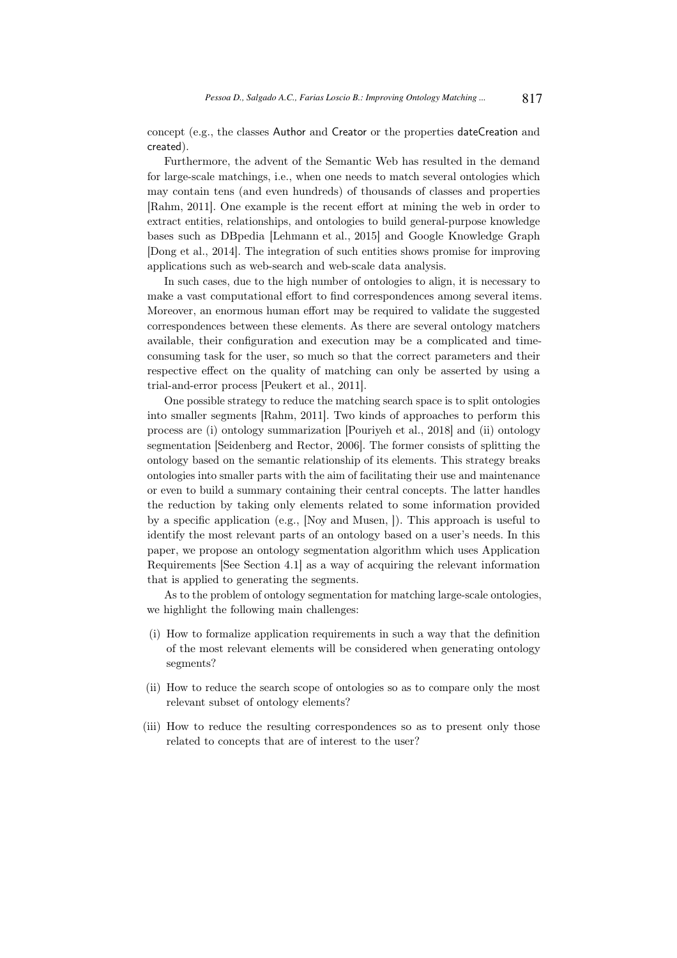concept (e.g., the classes Author and Creator or the properties dateCreation and created).

Furthermore, the advent of the Semantic Web has resulted in the demand for large-scale matchings, i.e., when one needs to match several ontologies which may contain tens (and even hundreds) of thousands of classes and properties [Rahm, 2011]. One example is the recent effort at mining the web in order to extract entities, relationships, and ontologies to build general-purpose knowledge bases such as DBpedia [Lehmann et al., 2015] and Google Knowledge Graph [Dong et al., 2014]. The integration of such entities shows promise for improving applications such as web-search and web-scale data analysis.

In such cases, due to the high number of ontologies to align, it is necessary to make a vast computational effort to find correspondences among several items. Moreover, an enormous human effort may be required to validate the suggested correspondences between these elements. As there are several ontology matchers available, their configuration and execution may be a complicated and timeconsuming task for the user, so much so that the correct parameters and their respective effect on the quality of matching can only be asserted by using a trial-and-error process [Peukert et al., 2011].

One possible strategy to reduce the matching search space is to split ontologies into smaller segments [Rahm, 2011]. Two kinds of approaches to perform this process are (i) ontology summarization [Pouriyeh et al., 2018] and (ii) ontology segmentation [Seidenberg and Rector, 2006]. The former consists of splitting the ontology based on the semantic relationship of its elements. This strategy breaks ontologies into smaller parts with the aim of facilitating their use and maintenance or even to build a summary containing their central concepts. The latter handles the reduction by taking only elements related to some information provided by a specific application (e.g., [Noy and Musen, ]). This approach is useful to identify the most relevant parts of an ontology based on a user's needs. In this paper, we propose an ontology segmentation algorithm which uses Application Requirements [See Section 4.1] as a way of acquiring the relevant information that is applied to generating the segments.

As to the problem of ontology segmentation for matching large-scale ontologies, we highlight the following main challenges:

- (i) How to formalize application requirements in such a way that the definition of the most relevant elements will be considered when generating ontology segments?
- (ii) How to reduce the search scope of ontologies so as to compare only the most relevant subset of ontology elements?
- (iii) How to reduce the resulting correspondences so as to present only those related to concepts that are of interest to the user?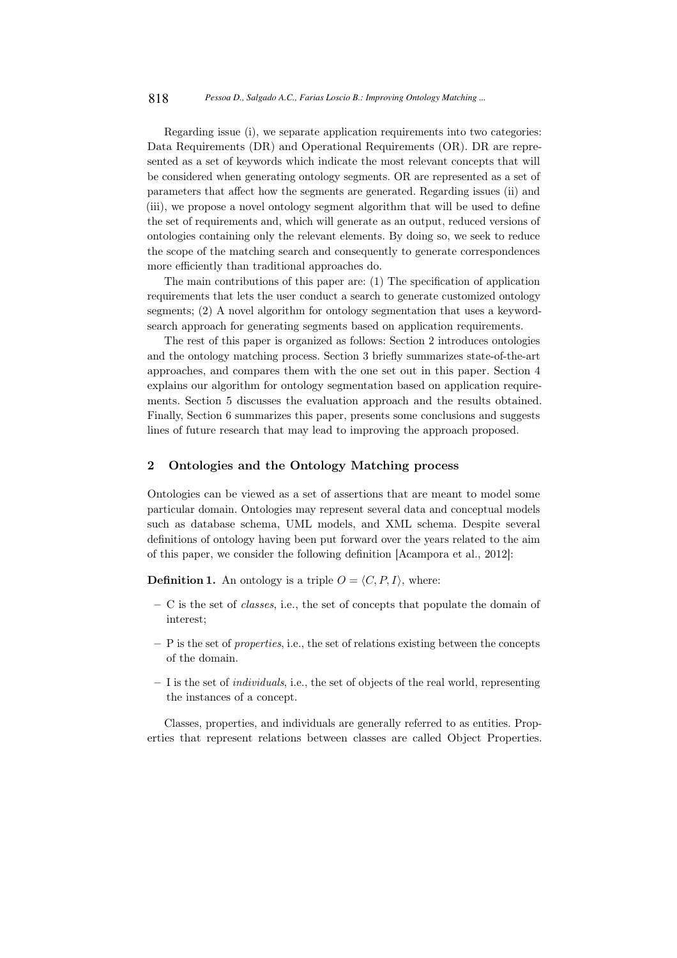Regarding issue (i), we separate application requirements into two categories: Data Requirements (DR) and Operational Requirements (OR). DR are represented as a set of keywords which indicate the most relevant concepts that will be considered when generating ontology segments. OR are represented as a set of parameters that affect how the segments are generated. Regarding issues (ii) and (iii), we propose a novel ontology segment algorithm that will be used to define the set of requirements and, which will generate as an output, reduced versions of ontologies containing only the relevant elements. By doing so, we seek to reduce the scope of the matching search and consequently to generate correspondences more efficiently than traditional approaches do.

The main contributions of this paper are: (1) The specification of application requirements that lets the user conduct a search to generate customized ontology segments; (2) A novel algorithm for ontology segmentation that uses a keywordsearch approach for generating segments based on application requirements.

The rest of this paper is organized as follows: Section 2 introduces ontologies and the ontology matching process. Section 3 briefly summarizes state-of-the-art approaches, and compares them with the one set out in this paper. Section 4 explains our algorithm for ontology segmentation based on application requirements. Section 5 discusses the evaluation approach and the results obtained. Finally, Section 6 summarizes this paper, presents some conclusions and suggests lines of future research that may lead to improving the approach proposed.

#### 2 Ontologies and the Ontology Matching process

Ontologies can be viewed as a set of assertions that are meant to model some particular domain. Ontologies may represent several data and conceptual models such as database schema, UML models, and XML schema. Despite several definitions of ontology having been put forward over the years related to the aim of this paper, we consider the following definition [Acampora et al., 2012]:

**Definition 1.** An ontology is a triple  $O = \langle C, P, I \rangle$ , where:

- C is the set of *classes*, i.e., the set of concepts that populate the domain of interest;
- P is the set of *properties*, i.e., the set of relations existing between the concepts of the domain.
- I is the set of *individuals*, i.e., the set of objects of the real world, representing the instances of a concept.

Classes, properties, and individuals are generally referred to as entities. Properties that represent relations between classes are called Object Properties.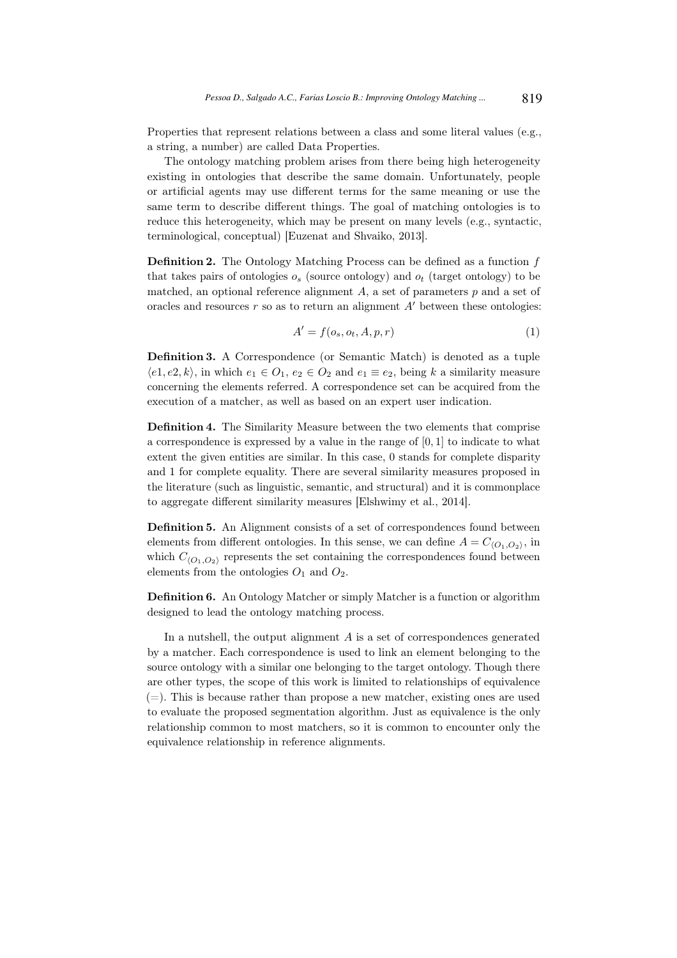Properties that represent relations between a class and some literal values (e.g., a string, a number) are called Data Properties.

The ontology matching problem arises from there being high heterogeneity existing in ontologies that describe the same domain. Unfortunately, people or artificial agents may use different terms for the same meaning or use the same term to describe different things. The goal of matching ontologies is to reduce this heterogeneity, which may be present on many levels (e.g., syntactic, terminological, conceptual) [Euzenat and Shvaiko, 2013].

**Definition 2.** The Ontology Matching Process can be defined as a function  $f$ that takes pairs of ontologies  $o_s$  (source ontology) and  $o_t$  (target ontology) to be matched, an optional reference alignment  $A$ , a set of parameters  $p$  and a set of oracles and resources  $r$  so as to return an alignment  $A'$  between these ontologies:

$$
A' = f(o_s, o_t, A, p, r)
$$
\n<sup>(1)</sup>

Definition 3. A Correspondence (or Semantic Match) is denoted as a tuple  $\langle e_1, e_2, k \rangle$ , in which  $e_1 \in O_1$ ,  $e_2 \in O_2$  and  $e_1 \equiv e_2$ , being k a similarity measure concerning the elements referred. A correspondence set can be acquired from the execution of a matcher, as well as based on an expert user indication.

Definition 4. The Similarity Measure between the two elements that comprise a correspondence is expressed by a value in the range of [0, 1] to indicate to what extent the given entities are similar. In this case, 0 stands for complete disparity and 1 for complete equality. There are several similarity measures proposed in the literature (such as linguistic, semantic, and structural) and it is commonplace to aggregate different similarity measures [Elshwimy et al., 2014].

Definition 5. An Alignment consists of a set of correspondences found between elements from different ontologies. In this sense, we can define  $A = C_{\langle O_1, O_2 \rangle}$ , in which  $C_{(O_1,O_2)}$  represents the set containing the correspondences found between elements from the ontologies  $O_1$  and  $O_2$ .

Definition 6. An Ontology Matcher or simply Matcher is a function or algorithm designed to lead the ontology matching process.

In a nutshell, the output alignment  $A$  is a set of correspondences generated by a matcher. Each correspondence is used to link an element belonging to the source ontology with a similar one belonging to the target ontology. Though there are other types, the scope of this work is limited to relationships of equivalence  $(=)$ . This is because rather than propose a new matcher, existing ones are used to evaluate the proposed segmentation algorithm. Just as equivalence is the only relationship common to most matchers, so it is common to encounter only the equivalence relationship in reference alignments.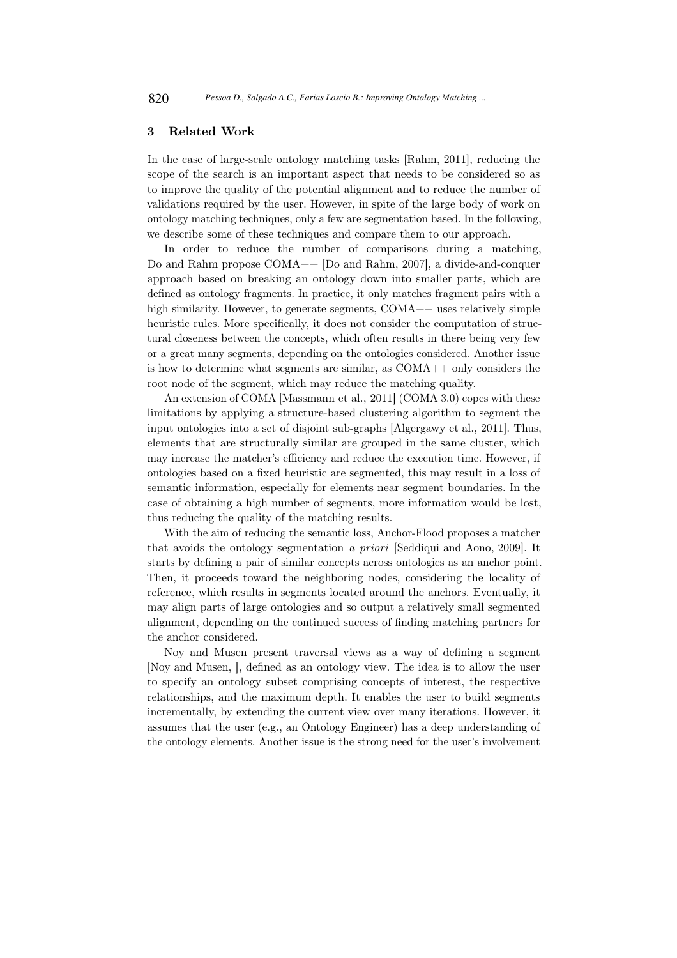## 3 Related Work

In the case of large-scale ontology matching tasks [Rahm, 2011], reducing the scope of the search is an important aspect that needs to be considered so as to improve the quality of the potential alignment and to reduce the number of validations required by the user. However, in spite of the large body of work on ontology matching techniques, only a few are segmentation based. In the following, we describe some of these techniques and compare them to our approach.

In order to reduce the number of comparisons during a matching, Do and Rahm propose COMA++ [Do and Rahm, 2007], a divide-and-conquer approach based on breaking an ontology down into smaller parts, which are defined as ontology fragments. In practice, it only matches fragment pairs with a high similarity. However, to generate segments, COMA++ uses relatively simple heuristic rules. More specifically, it does not consider the computation of structural closeness between the concepts, which often results in there being very few or a great many segments, depending on the ontologies considered. Another issue is how to determine what segments are similar, as COMA++ only considers the root node of the segment, which may reduce the matching quality.

An extension of COMA [Massmann et al., 2011] (COMA 3.0) copes with these limitations by applying a structure-based clustering algorithm to segment the input ontologies into a set of disjoint sub-graphs [Algergawy et al., 2011]. Thus, elements that are structurally similar are grouped in the same cluster, which may increase the matcher's efficiency and reduce the execution time. However, if ontologies based on a fixed heuristic are segmented, this may result in a loss of semantic information, especially for elements near segment boundaries. In the case of obtaining a high number of segments, more information would be lost, thus reducing the quality of the matching results.

With the aim of reducing the semantic loss, Anchor-Flood proposes a matcher that avoids the ontology segmentation *a priori* [Seddiqui and Aono, 2009]. It starts by defining a pair of similar concepts across ontologies as an anchor point. Then, it proceeds toward the neighboring nodes, considering the locality of reference, which results in segments located around the anchors. Eventually, it may align parts of large ontologies and so output a relatively small segmented alignment, depending on the continued success of finding matching partners for the anchor considered.

Noy and Musen present traversal views as a way of defining a segment [Noy and Musen, ], defined as an ontology view. The idea is to allow the user to specify an ontology subset comprising concepts of interest, the respective relationships, and the maximum depth. It enables the user to build segments incrementally, by extending the current view over many iterations. However, it assumes that the user (e.g., an Ontology Engineer) has a deep understanding of the ontology elements. Another issue is the strong need for the user's involvement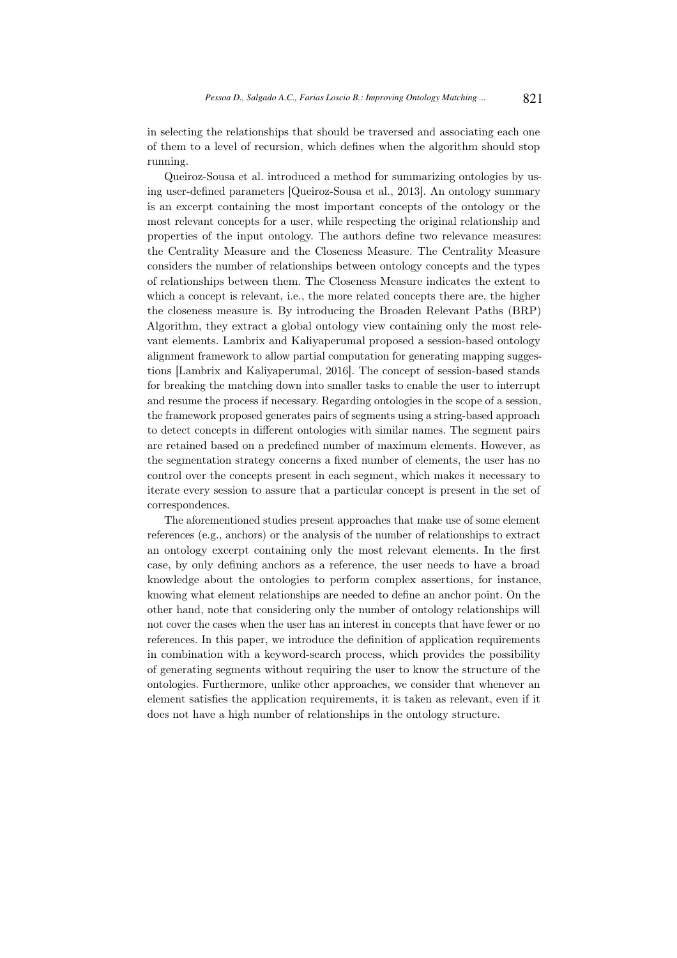in selecting the relationships that should be traversed and associating each one of them to a level of recursion, which defines when the algorithm should stop running.

Queiroz-Sousa et al. introduced a method for summarizing ontologies by using user-defined parameters [Queiroz-Sousa et al., 2013]. An ontology summary is an excerpt containing the most important concepts of the ontology or the most relevant concepts for a user, while respecting the original relationship and properties of the input ontology. The authors define two relevance measures: the Centrality Measure and the Closeness Measure. The Centrality Measure considers the number of relationships between ontology concepts and the types of relationships between them. The Closeness Measure indicates the extent to which a concept is relevant, i.e., the more related concepts there are, the higher the closeness measure is. By introducing the Broaden Relevant Paths (BRP) Algorithm, they extract a global ontology view containing only the most relevant elements. Lambrix and Kaliyaperumal proposed a session-based ontology alignment framework to allow partial computation for generating mapping suggestions [Lambrix and Kaliyaperumal, 2016]. The concept of session-based stands for breaking the matching down into smaller tasks to enable the user to interrupt and resume the process if necessary. Regarding ontologies in the scope of a session, the framework proposed generates pairs of segments using a string-based approach to detect concepts in different ontologies with similar names. The segment pairs are retained based on a predefined number of maximum elements. However, as the segmentation strategy concerns a fixed number of elements, the user has no control over the concepts present in each segment, which makes it necessary to iterate every session to assure that a particular concept is present in the set of correspondences.

The aforementioned studies present approaches that make use of some element references (e.g., anchors) or the analysis of the number of relationships to extract an ontology excerpt containing only the most relevant elements. In the first case, by only defining anchors as a reference, the user needs to have a broad knowledge about the ontologies to perform complex assertions, for instance, knowing what element relationships are needed to define an anchor point. On the other hand, note that considering only the number of ontology relationships will not cover the cases when the user has an interest in concepts that have fewer or no references. In this paper, we introduce the definition of application requirements in combination with a keyword-search process, which provides the possibility of generating segments without requiring the user to know the structure of the ontologies. Furthermore, unlike other approaches, we consider that whenever an element satisfies the application requirements, it is taken as relevant, even if it does not have a high number of relationships in the ontology structure.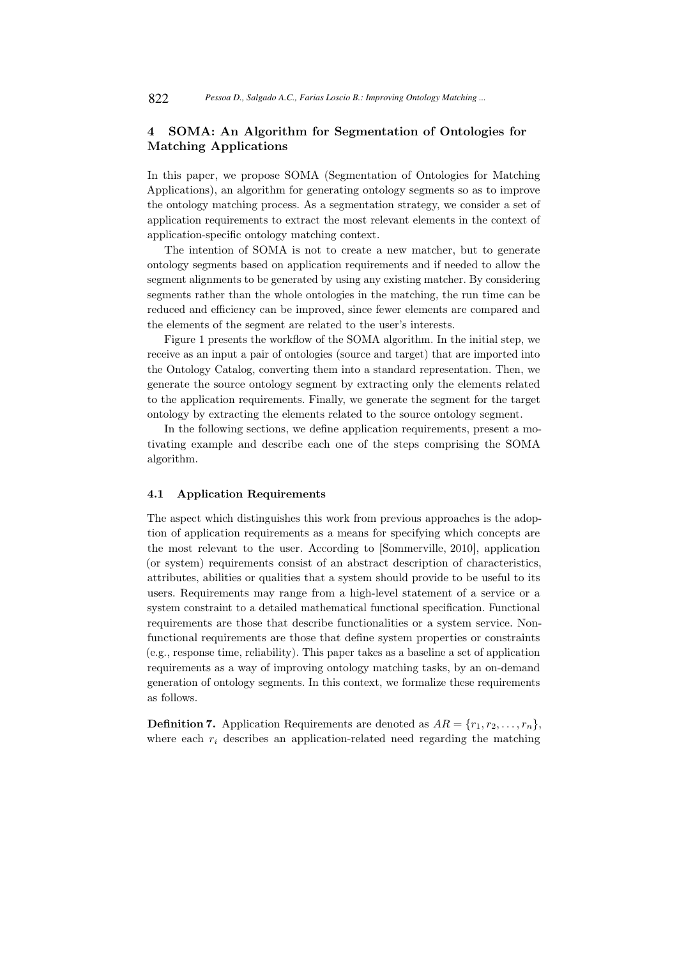## 4 SOMA: An Algorithm for Segmentation of Ontologies for Matching Applications

In this paper, we propose SOMA (Segmentation of Ontologies for Matching Applications), an algorithm for generating ontology segments so as to improve the ontology matching process. As a segmentation strategy, we consider a set of application requirements to extract the most relevant elements in the context of application-specific ontology matching context.

The intention of SOMA is not to create a new matcher, but to generate ontology segments based on application requirements and if needed to allow the segment alignments to be generated by using any existing matcher. By considering segments rather than the whole ontologies in the matching, the run time can be reduced and efficiency can be improved, since fewer elements are compared and the elements of the segment are related to the user's interests.

Figure 1 presents the workflow of the SOMA algorithm. In the initial step, we receive as an input a pair of ontologies (source and target) that are imported into the Ontology Catalog, converting them into a standard representation. Then, we generate the source ontology segment by extracting only the elements related to the application requirements. Finally, we generate the segment for the target ontology by extracting the elements related to the source ontology segment.

In the following sections, we define application requirements, present a motivating example and describe each one of the steps comprising the SOMA algorithm.

#### 4.1 Application Requirements

The aspect which distinguishes this work from previous approaches is the adoption of application requirements as a means for specifying which concepts are the most relevant to the user. According to [Sommerville, 2010], application (or system) requirements consist of an abstract description of characteristics, attributes, abilities or qualities that a system should provide to be useful to its users. Requirements may range from a high-level statement of a service or a system constraint to a detailed mathematical functional specification. Functional requirements are those that describe functionalities or a system service. Nonfunctional requirements are those that define system properties or constraints (e.g., response time, reliability). This paper takes as a baseline a set of application requirements as a way of improving ontology matching tasks, by an on-demand generation of ontology segments. In this context, we formalize these requirements as follows.

**Definition 7.** Application Requirements are denoted as  $AR = \{r_1, r_2, \ldots, r_n\}$ , where each  $r_i$  describes an application-related need regarding the matching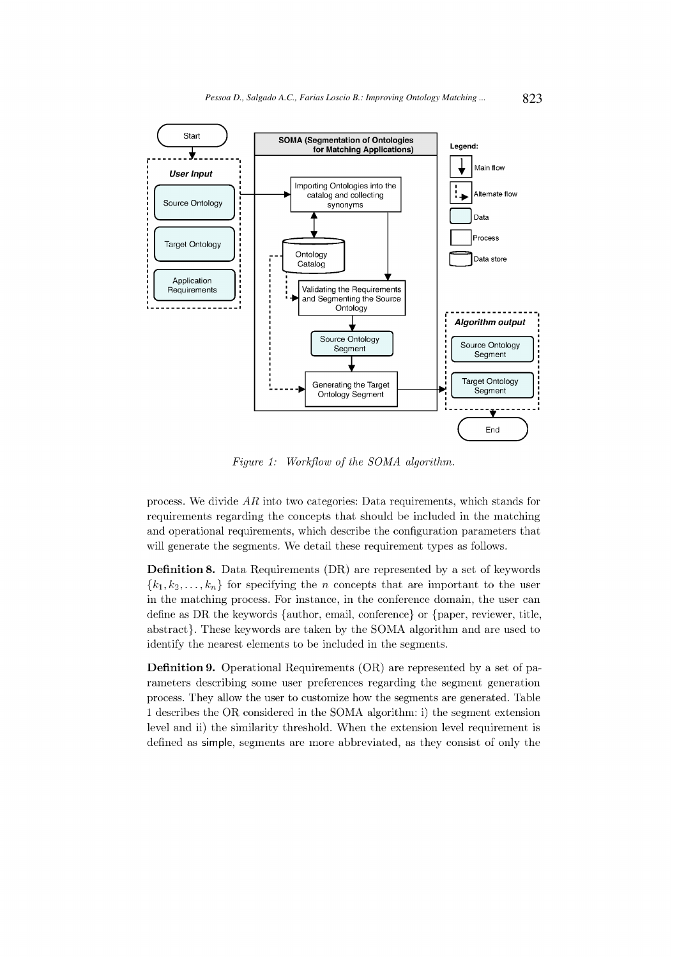

Figure 1: Workflow of the SOMA algorithm.

process. We divide  $AR$  into two categories: Data requirements, which stands for requirements regarding the concepts that should be included in the matching and operational requirements, which describe the configuration parameters that will generate the segments. We detail these requirement types as follows.

**Definition 8.** Data Requirements (DR) are represented by a set of keywords  ${k_1, k_2,..., k_n}$  for specifying the *n* concepts that are important to the user in the matching process. For instance, in the conference domain, the user can define as DR the keywords {author, email, conference} or {paper, reviewer, title, abstract}. These keywords are taken by the SOMA algorithm and are used to identify the nearest elements to be included in the segments.

**Definition 9.** Operational Requirements (OR) are represented by a set of parameters describing some user preferences regarding the segment generation process. They allow the user to customize how the segments are generated. Table 1 describes the OR considered in the SOMA algorithm: i) the segment extension level and ii) the similarity threshold. When the extension level requirement is defined as simple, segments are more abbreviated, as they consist of only the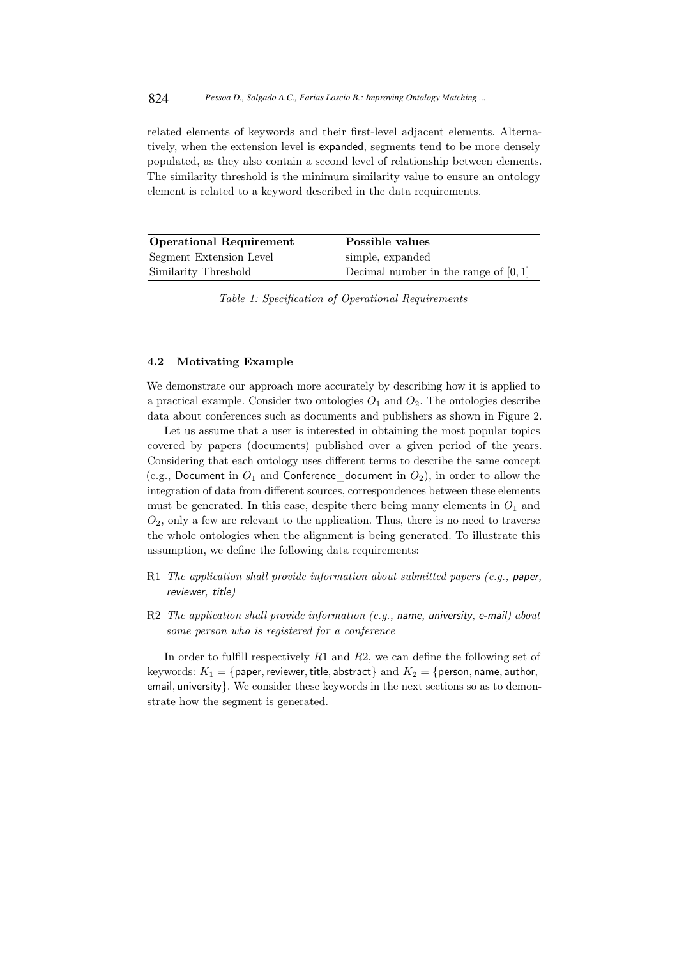related elements of keywords and their first-level adjacent elements. Alternatively, when the extension level is expanded, segments tend to be more densely populated, as they also contain a second level of relationship between elements. The similarity threshold is the minimum similarity value to ensure an ontology element is related to a keyword described in the data requirements.

| Operational Requirement | Possible values                        |
|-------------------------|----------------------------------------|
| Segment Extension Level | simple, expanded                       |
| Similarity Threshold    | Decimal number in the range of $[0,1]$ |

*Table 1: Specification of Operational Requirements*

#### 4.2 Motivating Example

We demonstrate our approach more accurately by describing how it is applied to a practical example. Consider two ontologies  $O_1$  and  $O_2$ . The ontologies describe data about conferences such as documents and publishers as shown in Figure 2.

Let us assume that a user is interested in obtaining the most popular topics covered by papers (documents) published over a given period of the years. Considering that each ontology uses different terms to describe the same concept (e.g., Document in  $O_1$  and Conference document in  $O_2$ ), in order to allow the integration of data from different sources, correspondences between these elements must be generated. In this case, despite there being many elements in  $O_1$  and  $O_2$ , only a few are relevant to the application. Thus, there is no need to traverse the whole ontologies when the alignment is being generated. To illustrate this assumption, we define the following data requirements:

- R1 *The application shall provide information about submitted papers (e.g.,* paper*,* reviewer*,* title*)*
- R2 *The application shall provide information (e.g.,* name*,* university*,* e-mail*) about some person who is registered for a conference*

In order to fulfill respectively  $R1$  and  $R2$ , we can define the following set of keywords:  $K_1 = \{ \text{paper, reviewer, title, abstract} \}$  and  $K_2 = \{ \text{person, name, author,} \}$ email, university}. We consider these keywords in the next sections so as to demonstrate how the segment is generated.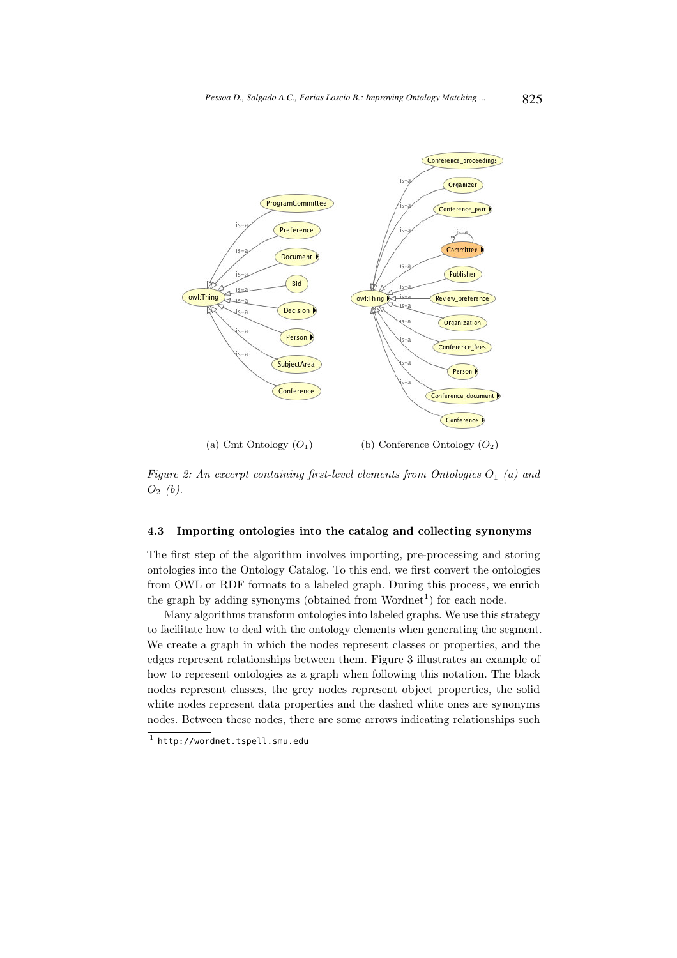

*Figure 2: An excerpt containing first-level elements from Ontologies*  $O_1$  (a) and

 $O_2$  (b).

## 4.3 Importing ontologies into the catalog and collecting synonyms

The first step of the algorithm involves importing, pre-processing and storing ontologies into the Ontology Catalog. To this end, we first convert the ontologies from OWL or RDF formats to a labeled graph. During this process, we enrich the graph by adding synonyms (obtained from  $Wordnet<sup>1</sup>$ ) for each node.

Many algorithms transform ontologies into labeled graphs. We use this strategy to facilitate how to deal with the ontology elements when generating the segment. We create a graph in which the nodes represent classes or properties, and the edges represent relationships between them. Figure 3 illustrates an example of how to represent ontologies as a graph when following this notation. The black nodes represent classes, the grey nodes represent object properties, the solid white nodes represent data properties and the dashed white ones are synonyms nodes. Between these nodes, there are some arrows indicating relationships such

 $^{\rm 1}$  http://wordnet.tspell.smu.edu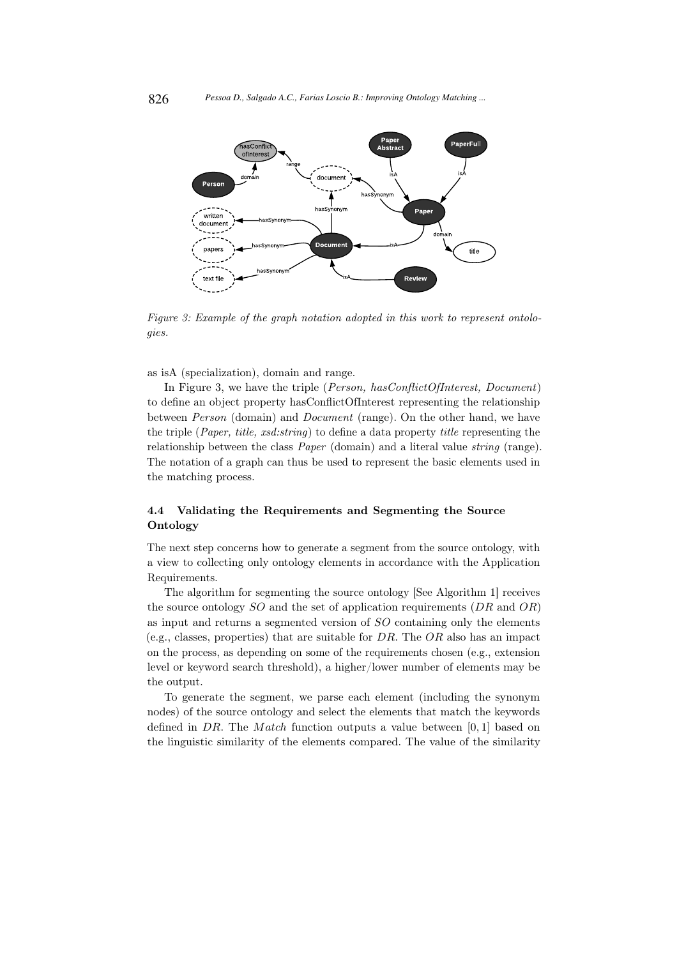

*Figure 3: Example of the graph notation adopted in this work to represent ontologies.*

as isA (specialization), domain and range.

In Figure 3, we have the triple (*Person, hasConflictOfInterest, Document*) to define an object property hasConflictOfInterest representing the relationship between *Person* (domain) and *Document* (range). On the other hand, we have the triple (*Paper, title, xsd:string*) to define a data property *title* representing the relationship between the class *Paper* (domain) and a literal value *string* (range). The notation of a graph can thus be used to represent the basic elements used in the matching process.

## 4.4 Validating the Requirements and Segmenting the Source Ontology

The next step concerns how to generate a segment from the source ontology, with a view to collecting only ontology elements in accordance with the Application Requirements.

The algorithm for segmenting the source ontology [See Algorithm 1] receives the source ontology  $SO$  and the set of application requirements  $(DR \text{ and } OR)$ as input and returns a segmented version of SO containing only the elements (e.g., classes, properties) that are suitable for  $DR$ . The  $OR$  also has an impact on the process, as depending on some of the requirements chosen (e.g., extension level or keyword search threshold), a higher/lower number of elements may be the output.

To generate the segment, we parse each element (including the synonym nodes) of the source ontology and select the elements that match the keywords defined in DR. The Match function outputs a value between  $[0, 1]$  based on the linguistic similarity of the elements compared. The value of the similarity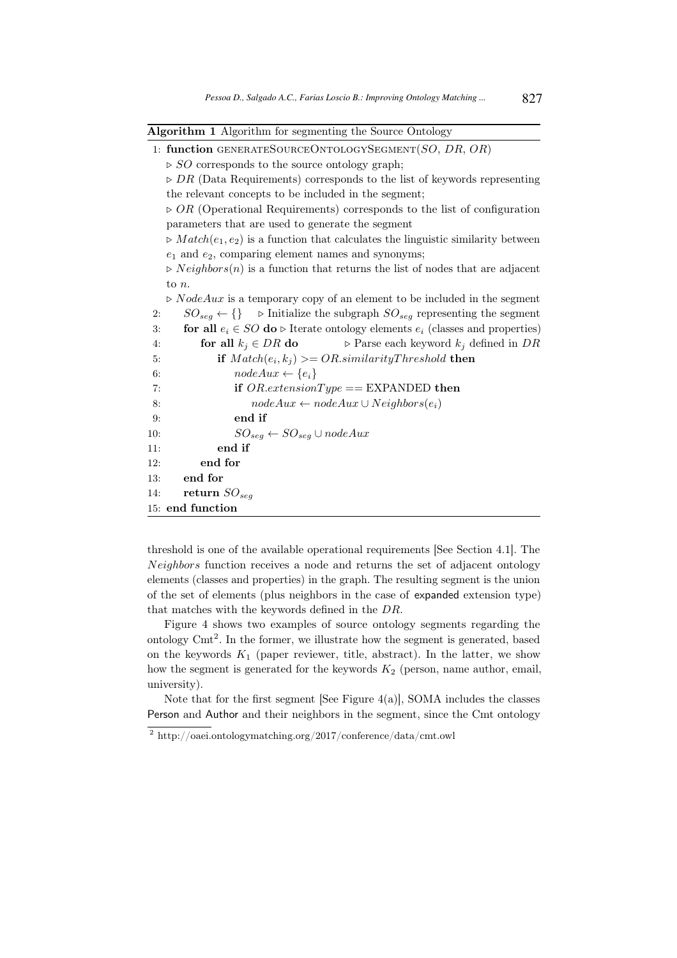Algorithm 1 Algorithm for segmenting the Source Ontology

|     | 1: function GENERATESOURCEONTOLOGYSEGMENT(SO, DR, OR)                                               |  |  |  |  |
|-----|-----------------------------------------------------------------------------------------------------|--|--|--|--|
|     | $\triangleright$ <i>SO</i> corresponds to the source ontology graph;                                |  |  |  |  |
|     | $\triangleright$ DR (Data Requirements) corresponds to the list of keywords representing            |  |  |  |  |
|     | the relevant concepts to be included in the segment;                                                |  |  |  |  |
|     | $\triangleright$ OR (Operational Requirements) corresponds to the list of configuration             |  |  |  |  |
|     | parameters that are used to generate the segment                                                    |  |  |  |  |
|     | $\triangleright Match(e_1, e_2)$ is a function that calculates the linguistic similarity between    |  |  |  |  |
|     | $e_1$ and $e_2$ , comparing element names and synonyms;                                             |  |  |  |  |
|     | $\triangleright$ <i>Neighbors(n)</i> is a function that returns the list of nodes that are adjacent |  |  |  |  |
|     | to $n$ .                                                                                            |  |  |  |  |
|     | $\triangleright$ <i>NodeAux</i> is a temporary copy of an element to be included in the segment     |  |  |  |  |
| 2:  | $SO_{seg} \leftarrow \{\}$ > Initialize the subgraph $SO_{seg}$ representing the segment            |  |  |  |  |
| 3:  | for all $e_i \in SO$ do $\triangleright$ Iterate ontology elements $e_i$ (classes and properties)   |  |  |  |  |
| 4:  | <b>for all</b> $k_j \in DR$ <b>do</b> $\triangleright$ Parse each keyword $k_j$ defined in DR       |  |  |  |  |
| 5:  | if $Match(e_i, k_j) \geq OR.similarityThreshold$ then                                               |  |  |  |  |
| 6:  | $nodeAux \leftarrow \{e_i\}$                                                                        |  |  |  |  |
| 7:  | if $OR. extensionType == EXPANDED$ then                                                             |  |  |  |  |
| 8:  | $nodeAux \leftarrow nodeAux \cup Neighbors(e_i)$                                                    |  |  |  |  |
| 9:  | end if                                                                                              |  |  |  |  |
| 10: | $SO_{seg} \leftarrow SO_{seg} \cup nodeAux$                                                         |  |  |  |  |
| 11: | end if                                                                                              |  |  |  |  |
| 12: | end for                                                                                             |  |  |  |  |
| 13: | end for                                                                                             |  |  |  |  |
| 14: | return $SO_{seq}$                                                                                   |  |  |  |  |
|     | 15: end function                                                                                    |  |  |  |  |

threshold is one of the available operational requirements [See Section 4.1]. The Neighbors function receives a node and returns the set of adjacent ontology elements (classes and properties) in the graph. The resulting segment is the union of the set of elements (plus neighbors in the case of expanded extension type) that matches with the keywords defined in the DR.

Figure 4 shows two examples of source ontology segments regarding the ontology Cmt<sup>2</sup> . In the former, we illustrate how the segment is generated, based on the keywords  $K_1$  (paper reviewer, title, abstract). In the latter, we show how the segment is generated for the keywords  $K_2$  (person, name author, email, university).

Note that for the first segment [See Figure  $4(a)$ ], SOMA includes the classes Person and Author and their neighbors in the segment, since the Cmt ontology

<sup>&</sup>lt;sup>2</sup> http://oaei.ontologymatching.org/2017/conference/data/cmt.owl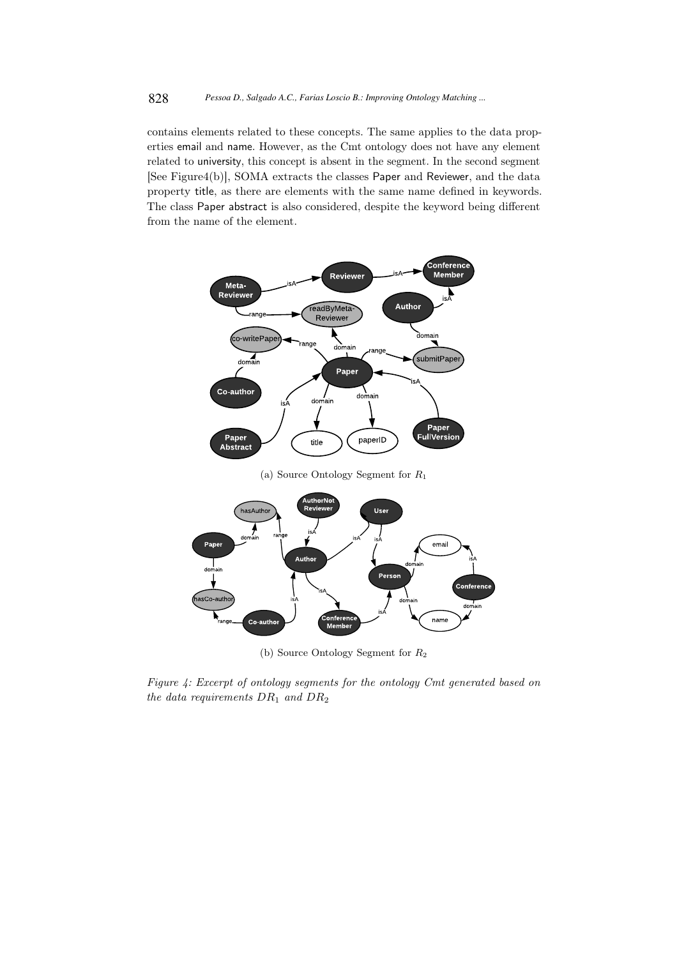contains elements related to these concepts. The same applies to the data properties email and name. However, as the Cmt ontology does not have any element related to university, this concept is absent in the segment. In the second segment [See Figure4(b)], SOMA extracts the classes Paper and Reviewer, and the data property title, as there are elements with the same name defined in keywords. The class Paper abstract is also considered, despite the keyword being different from the name of the element.



(a) Source Ontology Segment for R<sup>1</sup>



(b) Source Ontology Segment for R<sup>2</sup>

*Figure 4: Excerpt of ontology segments for the ontology Cmt generated based on the data requirements* DR<sup>1</sup> *and* DR<sup>2</sup>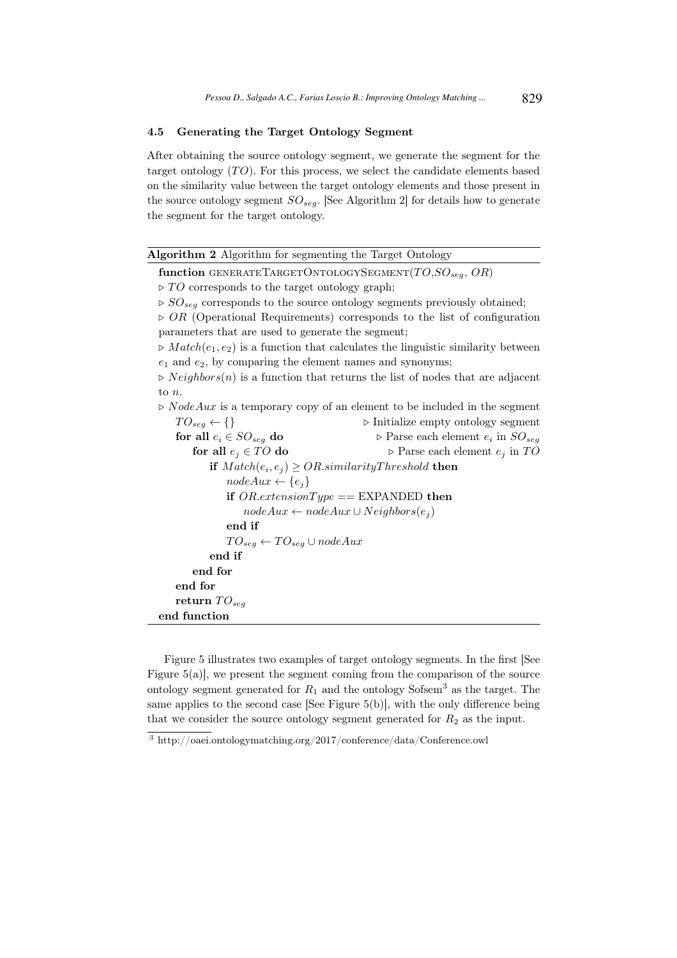## 4.5 Generating the Target Ontology Segment

After obtaining the source ontology segment, we generate the segment for the target ontology  $(TO)$ . For this process, we select the candidate elements based on the similarity value between the target ontology elements and those present in the source ontology segment  $SO_{seg}$ . [See Algorithm 2] for details how to generate the segment for the target ontology.

| Algorithm 2 Algorithm for segmenting the Target Ontology                                            |                                                                                         |  |  |  |  |
|-----------------------------------------------------------------------------------------------------|-----------------------------------------------------------------------------------------|--|--|--|--|
| function GENERATETARGETONTOLOGYSEGMENT $(TO, SO_{seg}, OR)$                                         |                                                                                         |  |  |  |  |
| $\triangleright TO$ corresponds to the target ontology graph;                                       |                                                                                         |  |  |  |  |
| $\triangleright SO_{seg}$ corresponds to the source ontology segments previously obtained;          |                                                                                         |  |  |  |  |
|                                                                                                     | $\triangleright$ OR (Operational Requirements) corresponds to the list of configuration |  |  |  |  |
| parameters that are used to generate the segment;                                                   |                                                                                         |  |  |  |  |
| $\triangleright Match(e_1, e_2)$ is a function that calculates the linguistic similarity between    |                                                                                         |  |  |  |  |
| $e_1$ and $e_2$ , by comparing the element names and synonyms;                                      |                                                                                         |  |  |  |  |
| $\triangleright$ <i>Neighbors(n)</i> is a function that returns the list of nodes that are adjacent |                                                                                         |  |  |  |  |
| to $n$ .                                                                                            |                                                                                         |  |  |  |  |
| $\triangleright$ <i>NodeAux</i> is a temporary copy of an element to be included in the segment     |                                                                                         |  |  |  |  |
| $TO_{seg} \leftarrow \{\}$                                                                          | $\triangleright$ Initialize empty ontology segment                                      |  |  |  |  |
| for all $e_i \in SO_{seq}$ do                                                                       | $\triangleright$ Parse each element $e_i$ in $SO_{seg}$                                 |  |  |  |  |
| for all $e_i \in TO$ do                                                                             | $\triangleright$ Parse each element $e_j$ in TO                                         |  |  |  |  |
| if $Match(e_i, e_j) \geq OR.similarityThreshold$ then                                               |                                                                                         |  |  |  |  |
| $nodeAux \leftarrow \{e_i\}$                                                                        |                                                                                         |  |  |  |  |
| if $OR. extensionType == EXPANDED$ then                                                             |                                                                                         |  |  |  |  |
| $nodeAux \leftarrow nodeAux \cup Neighbors(e_i)$                                                    |                                                                                         |  |  |  |  |
| end if                                                                                              |                                                                                         |  |  |  |  |
| $TO_{seg} \leftarrow TO_{seg} \cup nodeAux$                                                         |                                                                                         |  |  |  |  |
| end if                                                                                              |                                                                                         |  |  |  |  |
| end for                                                                                             |                                                                                         |  |  |  |  |
| end for                                                                                             |                                                                                         |  |  |  |  |
| return $TO_{seq}$                                                                                   |                                                                                         |  |  |  |  |
| end function                                                                                        |                                                                                         |  |  |  |  |
|                                                                                                     |                                                                                         |  |  |  |  |

Figure 5 illustrates two examples of target ontology segments. In the first [See Figure 5(a)], we present the segment coming from the comparison of the source ontology segment generated for  $R_1$  and the ontology Sofsem<sup>3</sup> as the target. The same applies to the second case [See Figure 5(b)], with the only difference being that we consider the source ontology segment generated for  $R_2$  as the input.

<sup>3</sup> http://oaei.ontologymatching.org/2017/conference/data/Conference.owl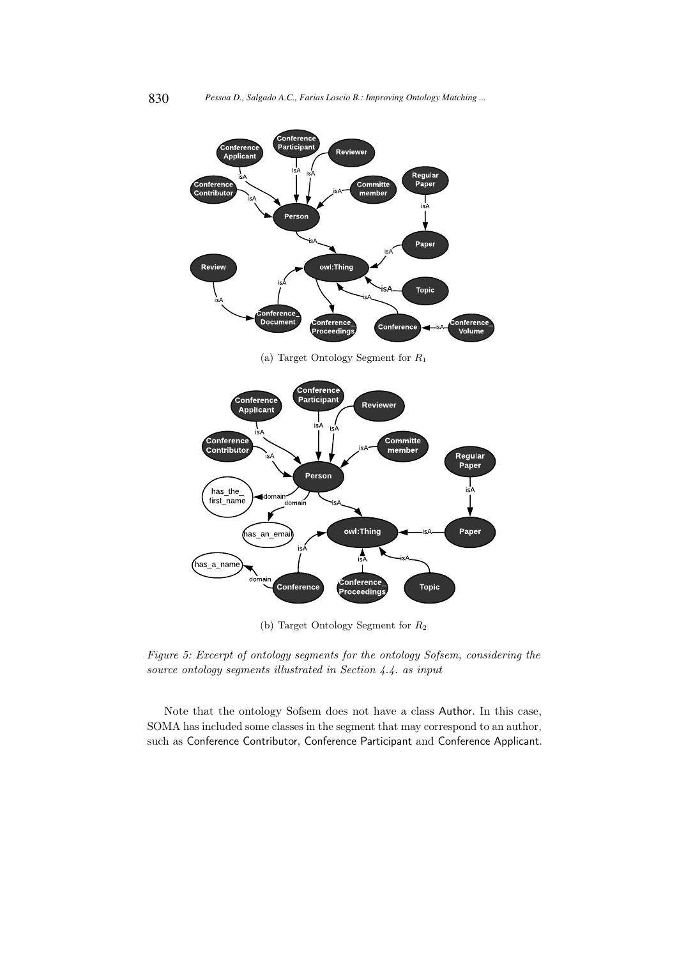

(a) Target Ontology Segment for R<sup>1</sup>



(b) Target Ontology Segment for R<sup>2</sup>

*Figure 5: Excerpt of ontology segments for the ontology Sofsem, considering the source ontology segments illustrated in Section 4.4. as input*

Note that the ontology Sofsem does not have a class Author. In this case, SOMA has included some classes in the segment that may correspond to an author, such as Conference Contributor, Conference Participant and Conference Applicant.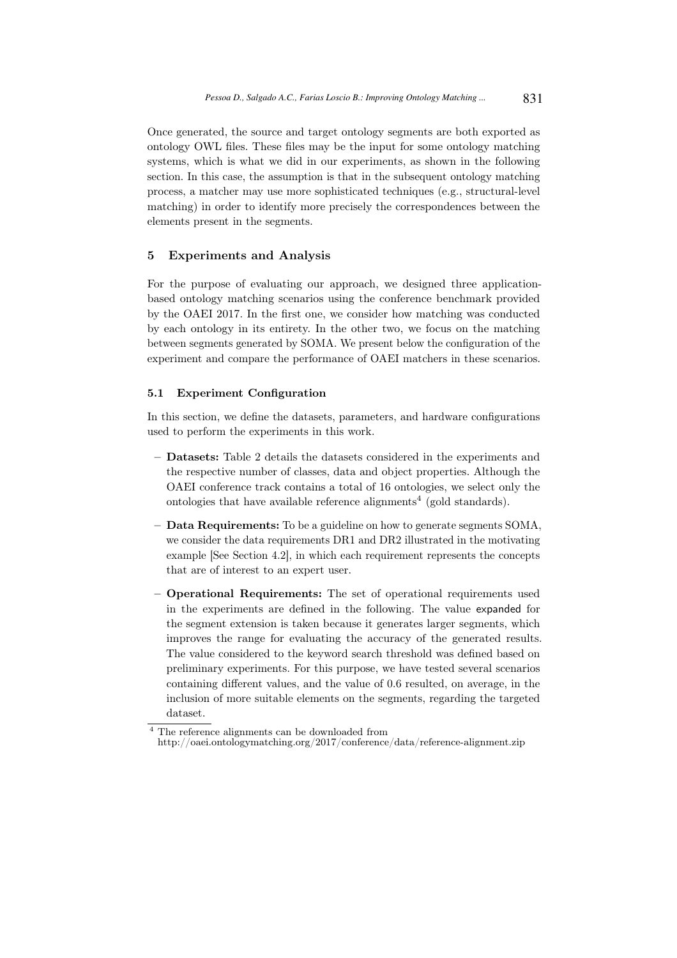Once generated, the source and target ontology segments are both exported as ontology OWL files. These files may be the input for some ontology matching systems, which is what we did in our experiments, as shown in the following section. In this case, the assumption is that in the subsequent ontology matching process, a matcher may use more sophisticated techniques (e.g., structural-level matching) in order to identify more precisely the correspondences between the elements present in the segments.

## 5 Experiments and Analysis

For the purpose of evaluating our approach, we designed three applicationbased ontology matching scenarios using the conference benchmark provided by the OAEI 2017. In the first one, we consider how matching was conducted by each ontology in its entirety. In the other two, we focus on the matching between segments generated by SOMA. We present below the configuration of the experiment and compare the performance of OAEI matchers in these scenarios.

## 5.1 Experiment Configuration

In this section, we define the datasets, parameters, and hardware configurations used to perform the experiments in this work.

- Datasets: Table 2 details the datasets considered in the experiments and the respective number of classes, data and object properties. Although the OAEI conference track contains a total of 16 ontologies, we select only the ontologies that have available reference alignments<sup>4</sup> (gold standards).
- Data Requirements: To be a guideline on how to generate segments SOMA, we consider the data requirements DR1 and DR2 illustrated in the motivating example [See Section 4.2], in which each requirement represents the concepts that are of interest to an expert user.
- Operational Requirements: The set of operational requirements used in the experiments are defined in the following. The value expanded for the segment extension is taken because it generates larger segments, which improves the range for evaluating the accuracy of the generated results. The value considered to the keyword search threshold was defined based on preliminary experiments. For this purpose, we have tested several scenarios containing different values, and the value of 0.6 resulted, on average, in the inclusion of more suitable elements on the segments, regarding the targeted dataset.

<sup>&</sup>lt;sup>4</sup> The reference alignments can be downloaded from http://oaei.ontologymatching.org/2017/conference/data/reference-alignment.zip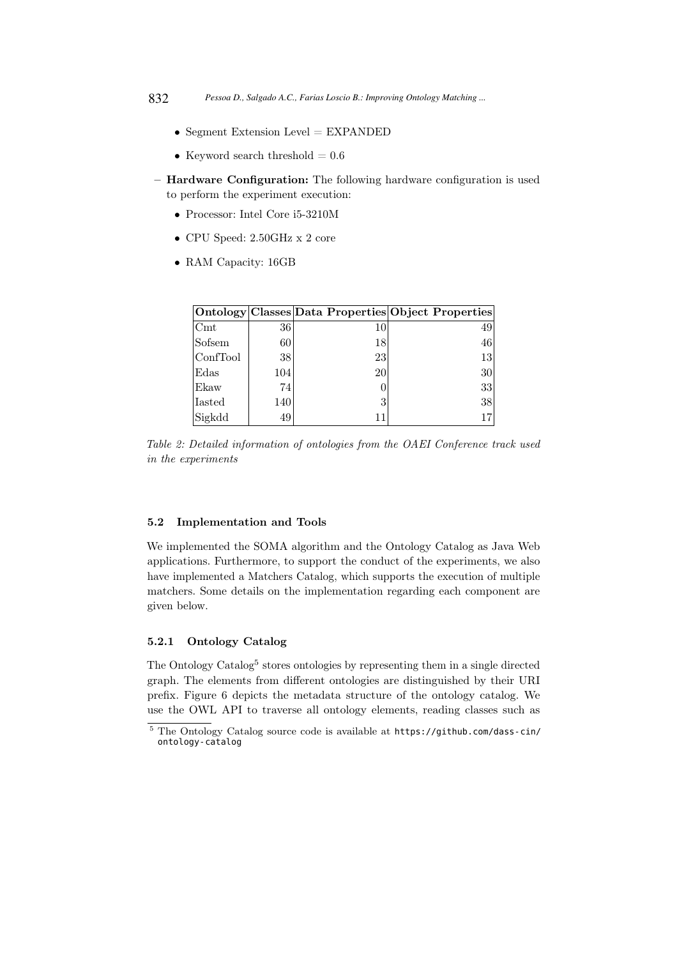- Segment Extension Level  $=$  EXPANDED
- Keyword search threshold  $= 0.6$
- Hardware Configuration: The following hardware configuration is used to perform the experiment execution:
	- Processor: Intel Core i5-3210M
	- CPU Speed: 2.50GHz x 2 core
	- RAM Capacity: 16GB

|                |     |    | Ontology Classes Data Properties Object Properties |
|----------------|-----|----|----------------------------------------------------|
| $\mathrm{Cmt}$ | 36  | 10 | 49                                                 |
| Sofsem         | 60  | 18 | 46                                                 |
| ConfTool       | 38  | 23 | 13                                                 |
| Edas           | 104 | 20 | 30 <sup>°</sup>                                    |
| Ekaw           | 74  |    | 33                                                 |
| Iasted         | 140 |    | 38                                                 |
| Sigkdd         | 49  | 11 |                                                    |

*Table 2: Detailed information of ontologies from the OAEI Conference track used in the experiments*

#### 5.2 Implementation and Tools

We implemented the SOMA algorithm and the Ontology Catalog as Java Web applications. Furthermore, to support the conduct of the experiments, we also have implemented a Matchers Catalog, which supports the execution of multiple matchers. Some details on the implementation regarding each component are given below.

## 5.2.1 Ontology Catalog

The Ontology Catalog<sup>5</sup> stores ontologies by representing them in a single directed graph. The elements from different ontologies are distinguished by their URI prefix. Figure 6 depicts the metadata structure of the ontology catalog. We use the OWL API to traverse all ontology elements, reading classes such as

<sup>5</sup> The Ontology Catalog source code is available at https://github.com/dass-cin/ ontology-catalog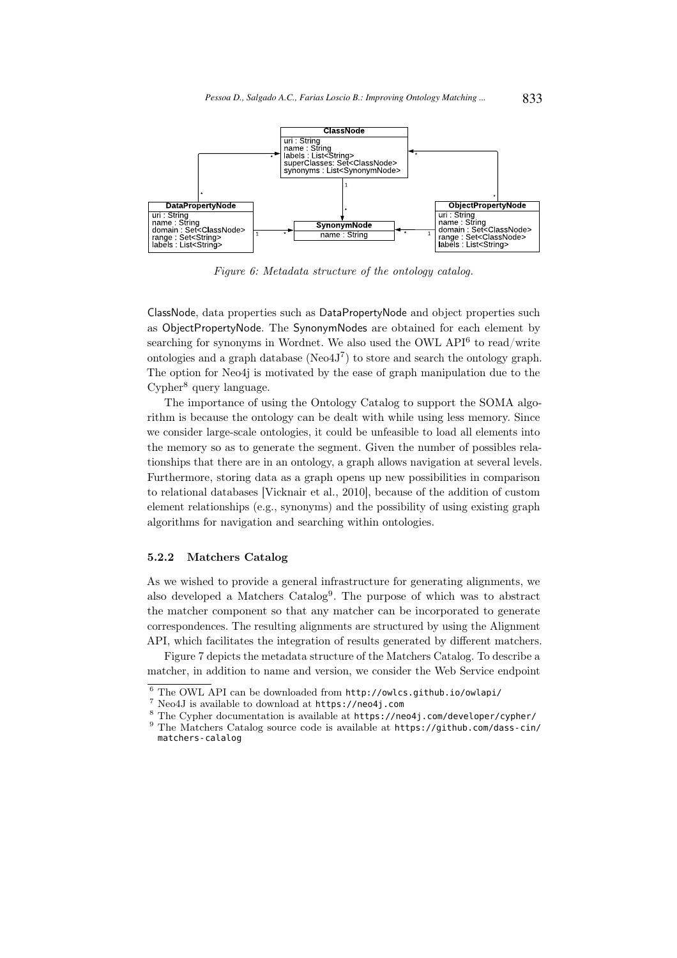

*Figure 6: Metadata structure of the ontology catalog.*

ClassNode, data properties such as DataPropertyNode and object properties such as ObjectPropertyNode. The SynonymNodes are obtained for each element by searching for synonyms in Wordnet. We also used the OWL API<sup>6</sup> to read/write ontologies and a graph database ( $Neo4J^7$ ) to store and search the ontology graph. The option for Neo4j is motivated by the ease of graph manipulation due to the Cypher<sup>8</sup> query language.

The importance of using the Ontology Catalog to support the SOMA algorithm is because the ontology can be dealt with while using less memory. Since we consider large-scale ontologies, it could be unfeasible to load all elements into the memory so as to generate the segment. Given the number of possibles relationships that there are in an ontology, a graph allows navigation at several levels. Furthermore, storing data as a graph opens up new possibilities in comparison to relational databases [Vicknair et al., 2010], because of the addition of custom element relationships (e.g., synonyms) and the possibility of using existing graph algorithms for navigation and searching within ontologies.

#### 5.2.2 Matchers Catalog

As we wished to provide a general infrastructure for generating alignments, we also developed a Matchers Catalog<sup>9</sup>. The purpose of which was to abstract the matcher component so that any matcher can be incorporated to generate correspondences. The resulting alignments are structured by using the Alignment API, which facilitates the integration of results generated by different matchers.

Figure 7 depicts the metadata structure of the Matchers Catalog. To describe a matcher, in addition to name and version, we consider the Web Service endpoint

 $\frac{6}{7}$  The OWL API can be downloaded from http://owlcs.github.io/owlapi/ $\frac{7}{7}$  Noo41 is available to download at https://poo4i.com

<sup>7</sup> Neo4J is available to download at https://neo4j.com

<sup>8</sup> The Cypher documentation is available at https://neo4j.com/developer/cypher/

<sup>&</sup>lt;sup>9</sup> The Matchers Catalog source code is available at https://github.com/dass-cin/ matchers-calalog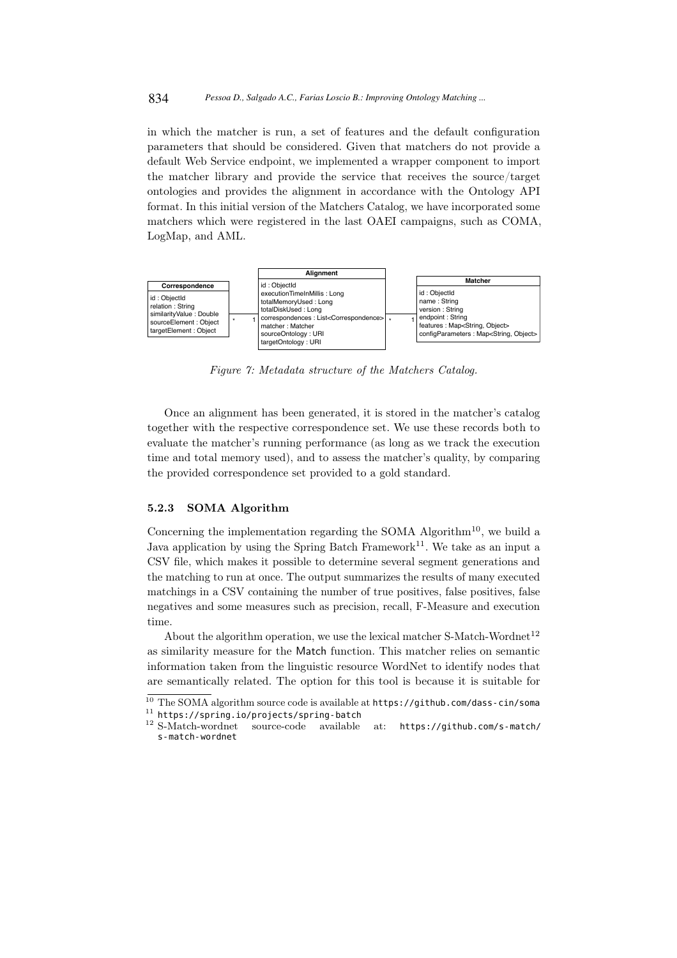in which the matcher is run, a set of features and the default configuration parameters that should be considered. Given that matchers do not provide a default Web Service endpoint, we implemented a wrapper component to import the matcher library and provide the service that receives the source/target ontologies and provides the alignment in accordance with the Ontology API format. In this initial version of the Matchers Catalog, we have incorporated some matchers which were registered in the last OAEI campaigns, such as COMA, LogMap, and AML.



*Figure 7: Metadata structure of the Matchers Catalog.*

Once an alignment has been generated, it is stored in the matcher's catalog together with the respective correspondence set. We use these records both to evaluate the matcher's running performance (as long as we track the execution time and total memory used), and to assess the matcher's quality, by comparing the provided correspondence set provided to a gold standard.

#### 5.2.3 SOMA Algorithm

Concerning the implementation regarding the SOMA Algorithm<sup>10</sup>, we build a Java application by using the Spring Batch Framework<sup>11</sup>. We take as an input a CSV file, which makes it possible to determine several segment generations and the matching to run at once. The output summarizes the results of many executed matchings in a CSV containing the number of true positives, false positives, false negatives and some measures such as precision, recall, F-Measure and execution time.

About the algorithm operation, we use the lexical matcher S-Match-Wordnet<sup>12</sup> as similarity measure for the Match function. This matcher relies on semantic information taken from the linguistic resource WordNet to identify nodes that are semantically related. The option for this tool is because it is suitable for

 $\overline{^{10}$  The SOMA algorithm source code is available at https://github.com/dass-cin/soma

<sup>&</sup>lt;sup>11</sup> https://spring.io/projects/spring-batch<br><sup>12</sup> S-Match-wordnet source-code available source-code available at: https://github.com/s-match/ s-match-wordnet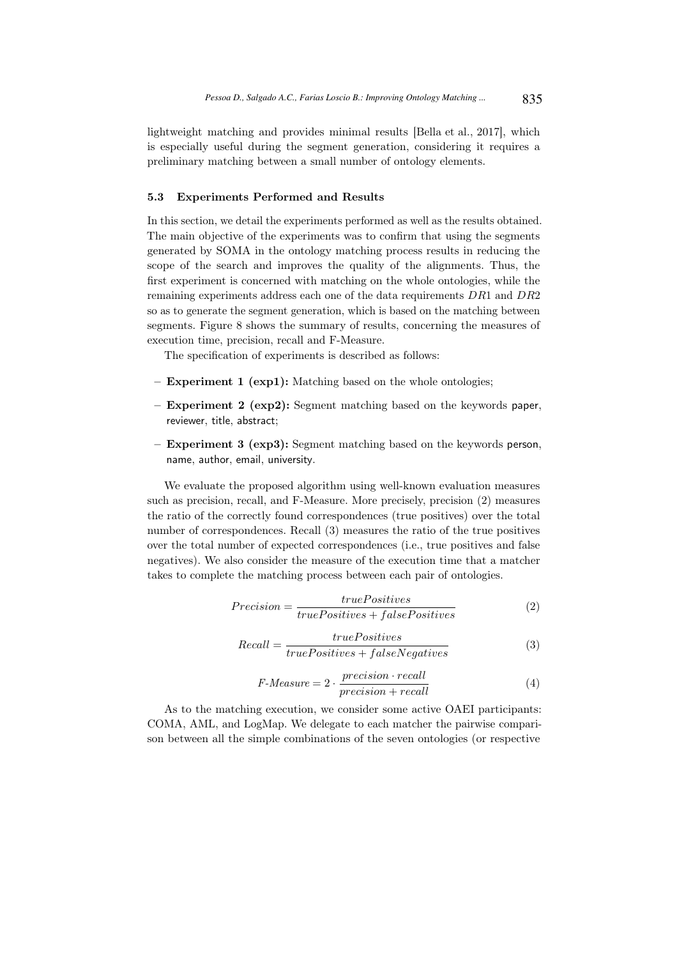lightweight matching and provides minimal results [Bella et al., 2017], which is especially useful during the segment generation, considering it requires a preliminary matching between a small number of ontology elements.

#### 5.3 Experiments Performed and Results

In this section, we detail the experiments performed as well as the results obtained. The main objective of the experiments was to confirm that using the segments generated by SOMA in the ontology matching process results in reducing the scope of the search and improves the quality of the alignments. Thus, the first experiment is concerned with matching on the whole ontologies, while the remaining experiments address each one of the data requirements DR1 and DR2 so as to generate the segment generation, which is based on the matching between segments. Figure 8 shows the summary of results, concerning the measures of execution time, precision, recall and F-Measure.

The specification of experiments is described as follows:

- Experiment 1 (exp1): Matching based on the whole ontologies;
- Experiment 2 (exp2): Segment matching based on the keywords paper, reviewer, title, abstract;
- Experiment 3 (exp3): Segment matching based on the keywords person, name, author, email, university.

We evaluate the proposed algorithm using well-known evaluation measures such as precision, recall, and F-Measure. More precisely, precision (2) measures the ratio of the correctly found correspondences (true positives) over the total number of correspondences. Recall (3) measures the ratio of the true positives over the total number of expected correspondences (i.e., true positives and false negatives). We also consider the measure of the execution time that a matcher takes to complete the matching process between each pair of ontologies.

$$
Precision = \frac{truePositives}{truePositives + falsePositives}
$$
 (2)

$$
Recall = \frac{truePositives}{truePositives + falseNegatives}
$$
 (3)

$$
F-Measure = 2 \cdot \frac{precision \cdot recall}{precision + recall}
$$
\n<sup>(4)</sup>

As to the matching execution, we consider some active OAEI participants: COMA, AML, and LogMap. We delegate to each matcher the pairwise comparison between all the simple combinations of the seven ontologies (or respective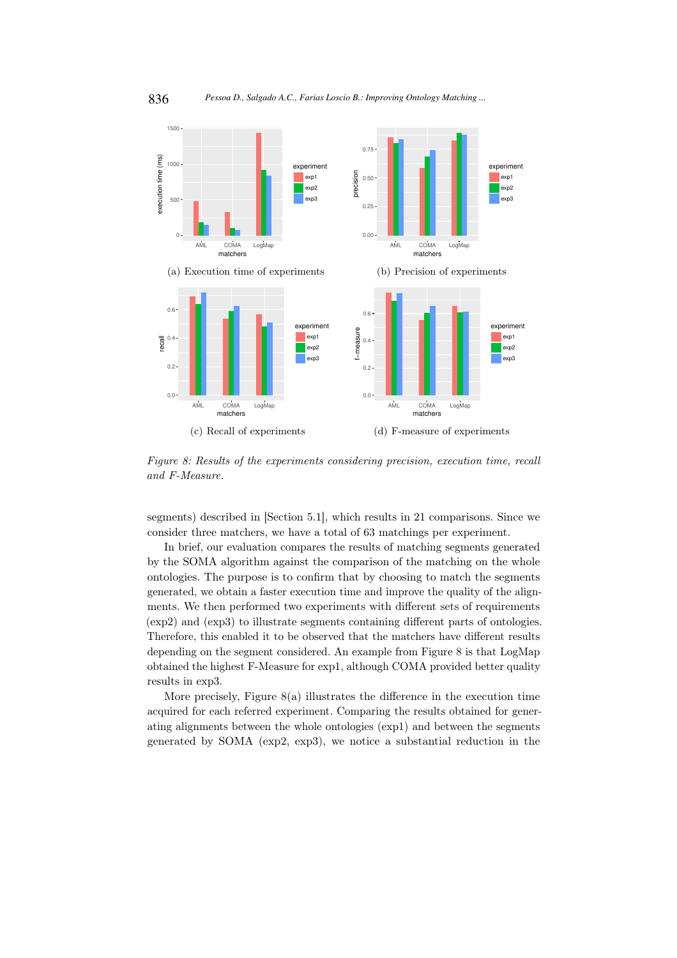

*Figure 8: Results of the experiments considering precision, execution time, recall and F-Measure.*

segments) described in [Section 5.1], which results in 21 comparisons. Since we consider three matchers, we have a total of 63 matchings per experiment.

In brief, our evaluation compares the results of matching segments generated by the SOMA algorithm against the comparison of the matching on the whole ontologies. The purpose is to confirm that by choosing to match the segments generated, we obtain a faster execution time and improve the quality of the alignments. We then performed two experiments with different sets of requirements (exp2) and (exp3) to illustrate segments containing different parts of ontologies. Therefore, this enabled it to be observed that the matchers have different results depending on the segment considered. An example from Figure 8 is that LogMap obtained the highest F-Measure for exp1, although COMA provided better quality results in exp3.

More precisely, Figure  $8(a)$  illustrates the difference in the execution time acquired for each referred experiment. Comparing the results obtained for generating alignments between the whole ontologies (exp1) and between the segments generated by SOMA (exp2, exp3), we notice a substantial reduction in the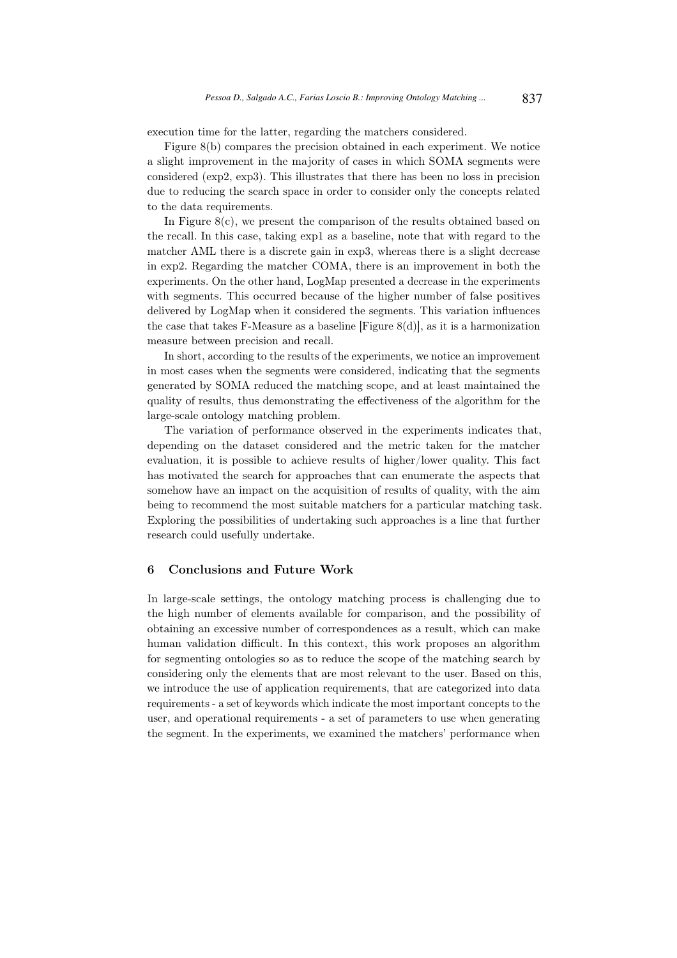execution time for the latter, regarding the matchers considered.

Figure 8(b) compares the precision obtained in each experiment. We notice a slight improvement in the majority of cases in which SOMA segments were considered (exp2, exp3). This illustrates that there has been no loss in precision due to reducing the search space in order to consider only the concepts related to the data requirements.

In Figure  $8(c)$ , we present the comparison of the results obtained based on the recall. In this case, taking exp1 as a baseline, note that with regard to the matcher AML there is a discrete gain in exp3, whereas there is a slight decrease in exp2. Regarding the matcher COMA, there is an improvement in both the experiments. On the other hand, LogMap presented a decrease in the experiments with segments. This occurred because of the higher number of false positives delivered by LogMap when it considered the segments. This variation influences the case that takes F-Measure as a baseline [Figure  $8(d)$ ], as it is a harmonization measure between precision and recall.

In short, according to the results of the experiments, we notice an improvement in most cases when the segments were considered, indicating that the segments generated by SOMA reduced the matching scope, and at least maintained the quality of results, thus demonstrating the effectiveness of the algorithm for the large-scale ontology matching problem.

The variation of performance observed in the experiments indicates that, depending on the dataset considered and the metric taken for the matcher evaluation, it is possible to achieve results of higher/lower quality. This fact has motivated the search for approaches that can enumerate the aspects that somehow have an impact on the acquisition of results of quality, with the aim being to recommend the most suitable matchers for a particular matching task. Exploring the possibilities of undertaking such approaches is a line that further research could usefully undertake.

#### 6 Conclusions and Future Work

In large-scale settings, the ontology matching process is challenging due to the high number of elements available for comparison, and the possibility of obtaining an excessive number of correspondences as a result, which can make human validation difficult. In this context, this work proposes an algorithm for segmenting ontologies so as to reduce the scope of the matching search by considering only the elements that are most relevant to the user. Based on this, we introduce the use of application requirements, that are categorized into data requirements - a set of keywords which indicate the most important concepts to the user, and operational requirements - a set of parameters to use when generating the segment. In the experiments, we examined the matchers' performance when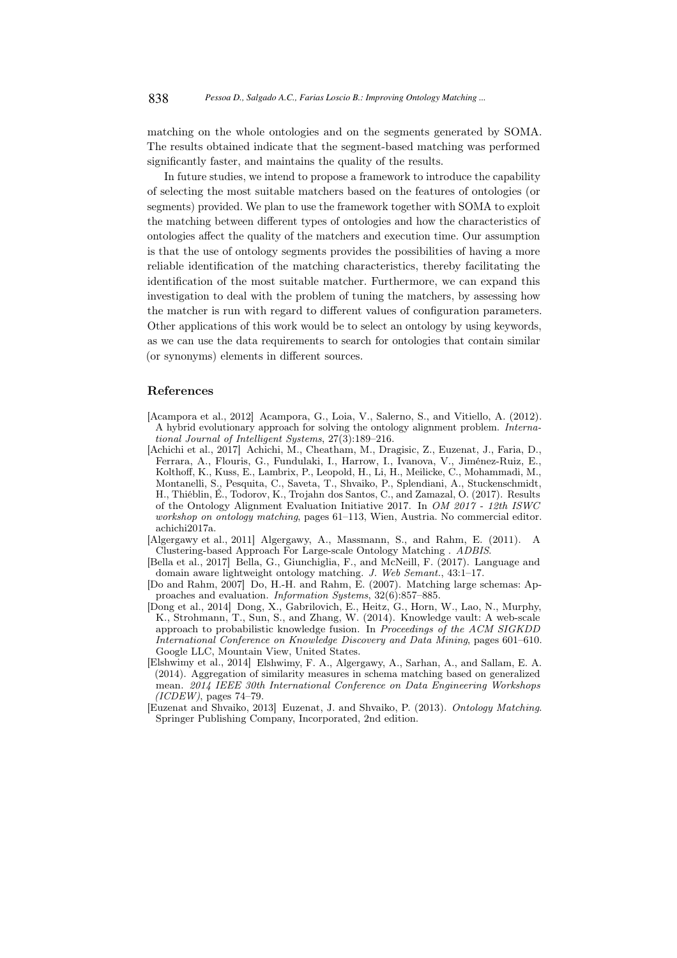matching on the whole ontologies and on the segments generated by SOMA. The results obtained indicate that the segment-based matching was performed significantly faster, and maintains the quality of the results.

In future studies, we intend to propose a framework to introduce the capability of selecting the most suitable matchers based on the features of ontologies (or segments) provided. We plan to use the framework together with SOMA to exploit the matching between different types of ontologies and how the characteristics of ontologies affect the quality of the matchers and execution time. Our assumption is that the use of ontology segments provides the possibilities of having a more reliable identification of the matching characteristics, thereby facilitating the identification of the most suitable matcher. Furthermore, we can expand this investigation to deal with the problem of tuning the matchers, by assessing how the matcher is run with regard to different values of configuration parameters. Other applications of this work would be to select an ontology by using keywords, as we can use the data requirements to search for ontologies that contain similar (or synonyms) elements in different sources.

#### References

- [Acampora et al., 2012] Acampora, G., Loia, V., Salerno, S., and Vitiello, A. (2012). A hybrid evolutionary approach for solving the ontology alignment problem. *International Journal of Intelligent Systems*, 27(3):189–216.
- [Achichi et al., 2017] Achichi, M., Cheatham, M., Dragisic, Z., Euzenat, J., Faria, D., Ferrara, A., Flouris, G., Fundulaki, I., Harrow, I., Ivanova, V., Jiménez-Ruiz, E., Kolthoff, K., Kuss, E., Lambrix, P., Leopold, H., Li, H., Meilicke, C., Mohammadi, M., Montanelli, S., Pesquita, C., Saveta, T., Shvaiko, P., Splendiani, A., Stuckenschmidt, H., Thiéblin, É., Todorov, K., Trojahn dos Santos, C., and Zamazal, O. (2017). Results of the Ontology Alignment Evaluation Initiative 2017. In *OM 2017 - 12th ISWC workshop on ontology matching*, pages 61–113, Wien, Austria. No commercial editor. achichi2017a.
- [Algergawy et al., 2011] Algergawy, A., Massmann, S., and Rahm, E. (2011). A Clustering-based Approach For Large-scale Ontology Matching . *ADBIS*.
- [Bella et al., 2017] Bella, G., Giunchiglia, F., and McNeill, F. (2017). Language and domain aware lightweight ontology matching. *J. Web Semant.*, 43:1–17.
- [Do and Rahm, 2007] Do, H.-H. and Rahm, E. (2007). Matching large schemas: Approaches and evaluation. *Information Systems*, 32(6):857–885.
- [Dong et al., 2014] Dong, X., Gabrilovich, E., Heitz, G., Horn, W., Lao, N., Murphy, K., Strohmann, T., Sun, S., and Zhang, W. (2014). Knowledge vault: A web-scale approach to probabilistic knowledge fusion. In *Proceedings of the ACM SIGKDD International Conference on Knowledge Discovery and Data Mining*, pages 601–610. Google LLC, Mountain View, United States.
- [Elshwimy et al., 2014] Elshwimy, F. A., Algergawy, A., Sarhan, A., and Sallam, E. A. (2014). Aggregation of similarity measures in schema matching based on generalized mean. *2014 IEEE 30th International Conference on Data Engineering Workshops (ICDEW)*, pages 74–79.
- [Euzenat and Shvaiko, 2013] Euzenat, J. and Shvaiko, P. (2013). *Ontology Matching*. Springer Publishing Company, Incorporated, 2nd edition.